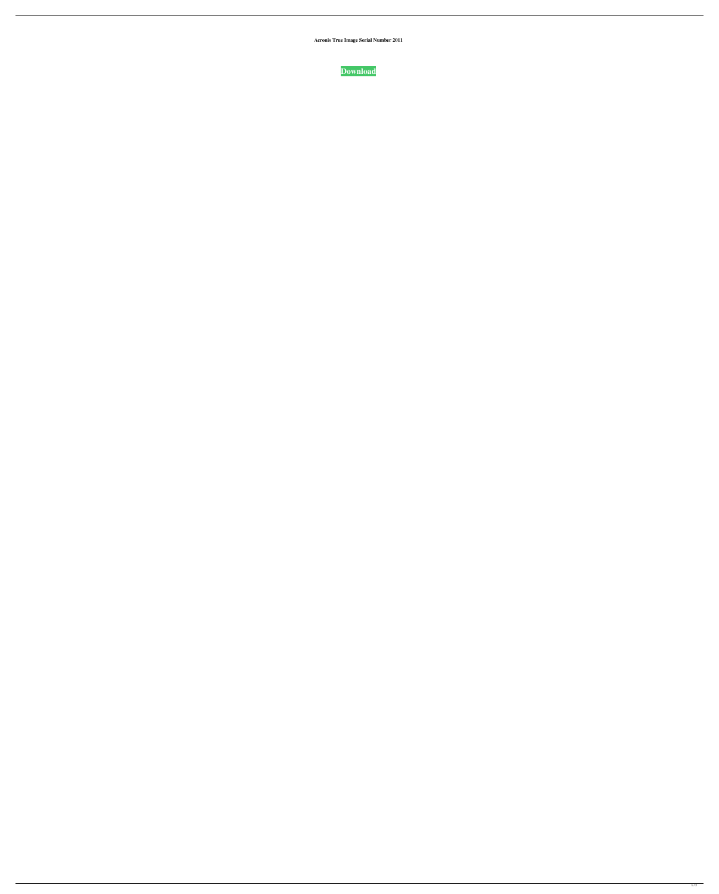**Acronis True Image Serial Number 2011**